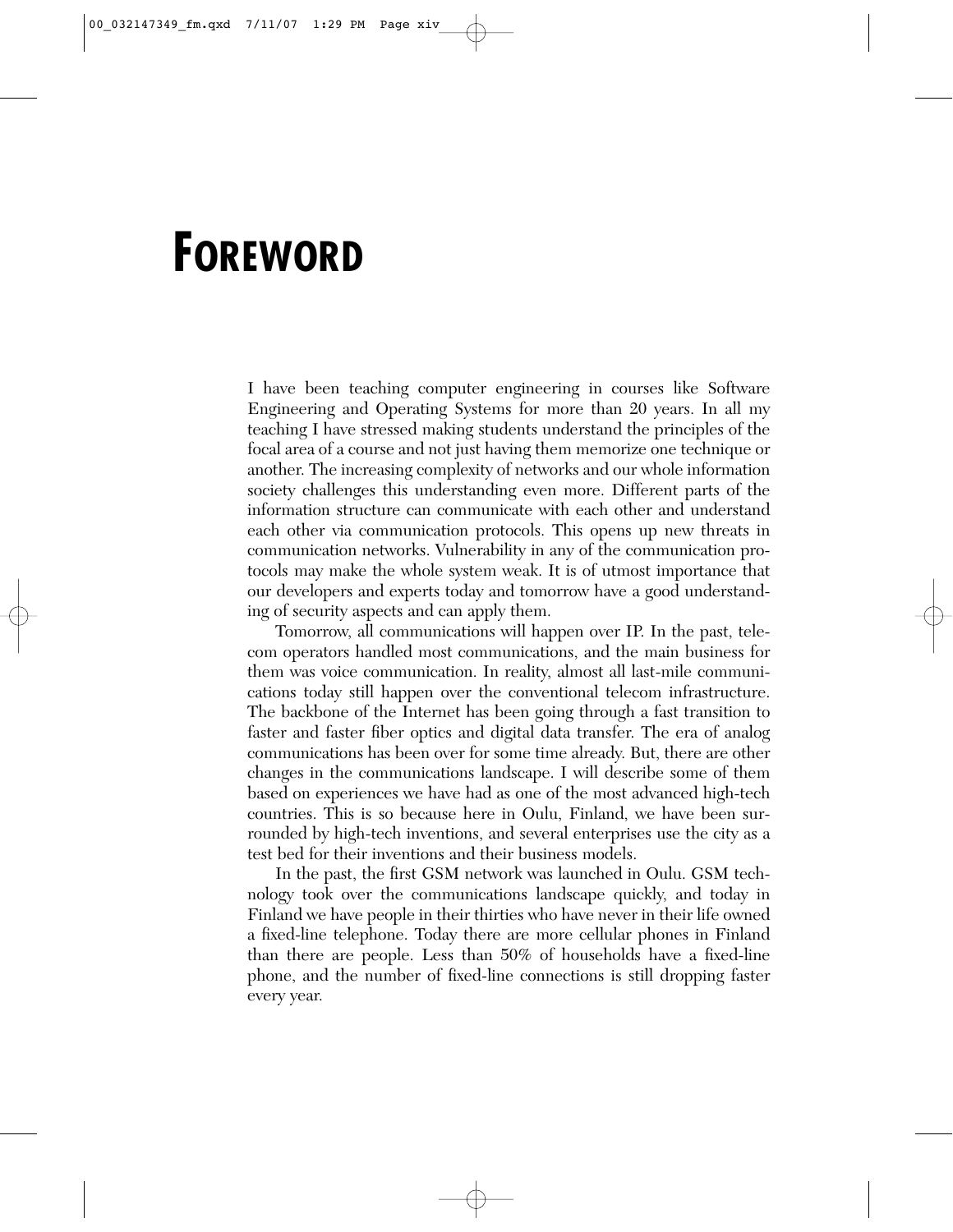## **FOREWORD**

I have been teaching computer engineering in courses like Software Engineering and Operating Systems for more than 20 years. In all my teaching I have stressed making students understand the principles of the focal area of a course and not just having them memorize one technique or another. The increasing complexity of networks and our whole information society challenges this understanding even more. Different parts of the information structure can communicate with each other and understand each other via communication protocols. This opens up new threats in communication networks. Vulnerability in any of the communication protocols may make the whole system weak. It is of utmost importance that our developers and experts today and tomorrow have a good understanding of security aspects and can apply them.

Tomorrow, all communications will happen over IP. In the past, telecom operators handled most communications, and the main business for them was voice communication. In reality, almost all last-mile communications today still happen over the conventional telecom infrastructure. The backbone of the Internet has been going through a fast transition to faster and faster fiber optics and digital data transfer. The era of analog communications has been over for some time already. But, there are other changes in the communications landscape. I will describe some of them based on experiences we have had as one of the most advanced high-tech countries. This is so because here in Oulu, Finland, we have been surrounded by high-tech inventions, and several enterprises use the city as a test bed for their inventions and their business models.

In the past, the first GSM network was launched in Oulu. GSM technology took over the communications landscape quickly, and today in Finland we have people in their thirties who have never in their life owned a fixed-line telephone. Today there are more cellular phones in Finland than there are people. Less than 50% of households have a fixed-line phone, and the number of fixed-line connections is still dropping faster every year.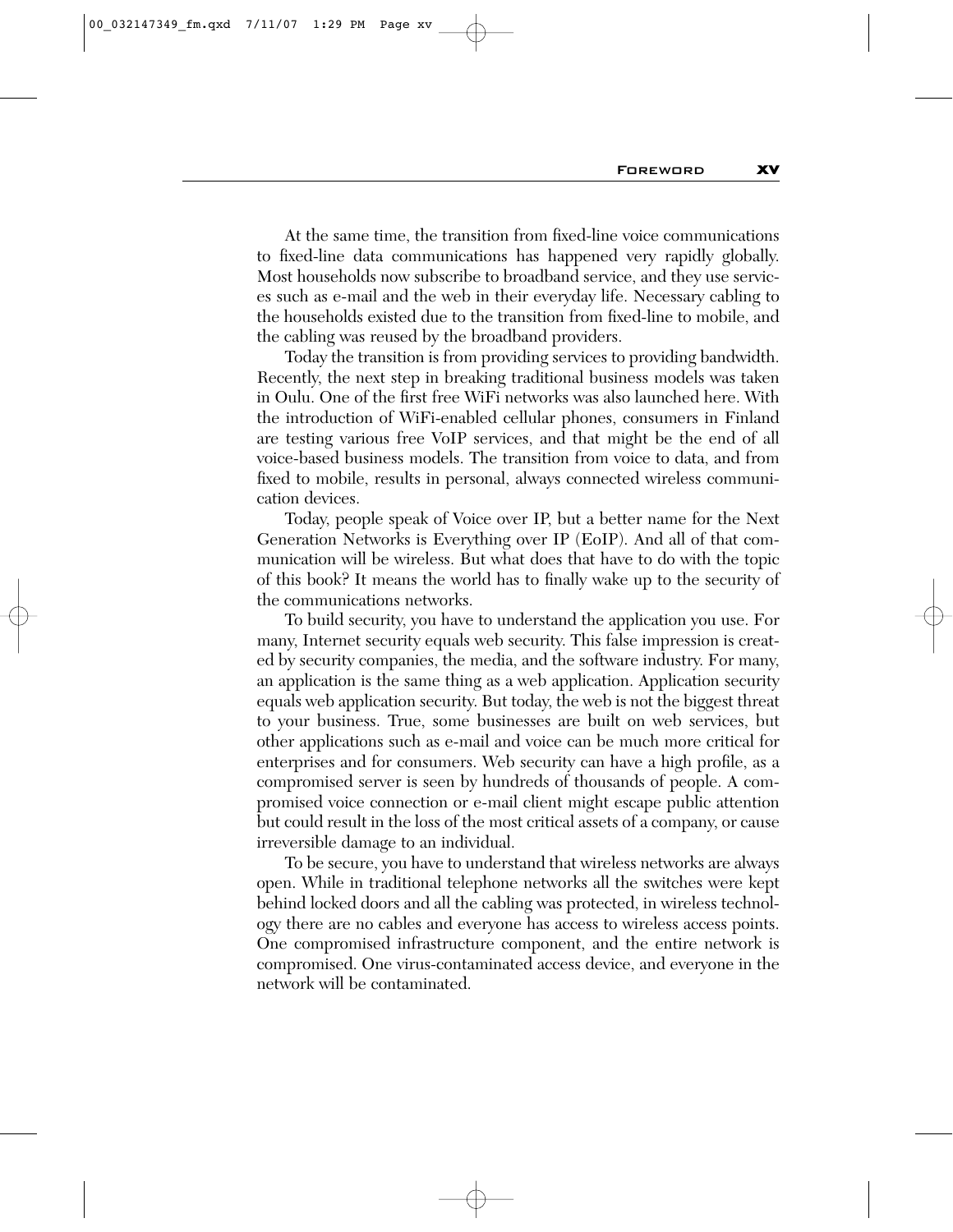At the same time, the transition from fixed-line voice communications to fixed-line data communications has happened very rapidly globally. Most households now subscribe to broadband service, and they use services such as e-mail and the web in their everyday life. Necessary cabling to the households existed due to the transition from fixed-line to mobile, and the cabling was reused by the broadband providers.

Today the transition is from providing services to providing bandwidth. Recently, the next step in breaking traditional business models was taken in Oulu. One of the first free WiFi networks was also launched here. With the introduction of WiFi-enabled cellular phones, consumers in Finland are testing various free VoIP services, and that might be the end of all voice-based business models. The transition from voice to data, and from fixed to mobile, results in personal, always connected wireless communication devices.

Today, people speak of Voice over IP, but a better name for the Next Generation Networks is Everything over IP (EoIP). And all of that communication will be wireless. But what does that have to do with the topic of this book? It means the world has to finally wake up to the security of the communications networks.

To build security, you have to understand the application you use. For many, Internet security equals web security. This false impression is created by security companies, the media, and the software industry. For many, an application is the same thing as a web application. Application security equals web application security. But today, the web is not the biggest threat to your business. True, some businesses are built on web services, but other applications such as e-mail and voice can be much more critical for enterprises and for consumers. Web security can have a high profile, as a compromised server is seen by hundreds of thousands of people. A compromised voice connection or e-mail client might escape public attention but could result in the loss of the most critical assets of a company, or cause irreversible damage to an individual.

To be secure, you have to understand that wireless networks are always open. While in traditional telephone networks all the switches were kept behind locked doors and all the cabling was protected, in wireless technology there are no cables and everyone has access to wireless access points. One compromised infrastructure component, and the entire network is compromised. One virus-contaminated access device, and everyone in the network will be contaminated.